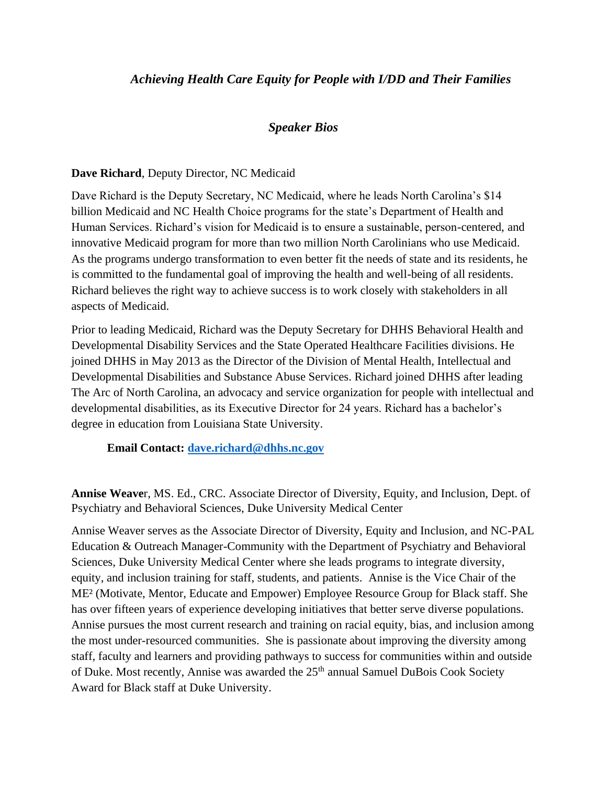# *Achieving Health Care Equity for People with I/DD and Their Families*

# *Speaker Bios*

#### **Dave Richard**, Deputy Director, NC Medicaid

Dave Richard is the Deputy Secretary, NC Medicaid, where he leads North Carolina's \$14 billion Medicaid and NC Health Choice programs for the state's Department of Health and Human Services. Richard's vision for Medicaid is to ensure a sustainable, person-centered, and innovative Medicaid program for more than two million North Carolinians who use Medicaid. As the programs undergo transformation to even better fit the needs of state and its residents, he is committed to the fundamental goal of improving the health and well-being of all residents. Richard believes the right way to achieve success is to work closely with stakeholders in all aspects of Medicaid.

Prior to leading Medicaid, Richard was the Deputy Secretary for DHHS Behavioral Health and Developmental Disability Services and the State Operated Healthcare Facilities divisions. He joined DHHS in May 2013 as the Director of the Division of Mental Health, Intellectual and Developmental Disabilities and Substance Abuse Services. Richard joined DHHS after leading The Arc of North Carolina, an advocacy and service organization for people with intellectual and developmental disabilities, as its Executive Director for 24 years. Richard has a bachelor's degree in education from Louisiana State University.

**Email Contact: [dave.richard@dhhs.nc.gov](mailto:dave.richard@dhhs.nc.gov)**

**Annise Weave**r, MS. Ed., CRC. Associate Director of Diversity, Equity, and Inclusion, Dept. of Psychiatry and Behavioral Sciences, Duke University Medical Center

Annise Weaver serves as the Associate Director of Diversity, Equity and Inclusion, and NC-PAL Education & Outreach Manager-Community with the Department of Psychiatry and Behavioral Sciences, Duke University Medical Center where she leads programs to integrate diversity, equity, and inclusion training for staff, students, and patients. Annise is the Vice Chair of the ME² (Motivate, Mentor, Educate and Empower) Employee Resource Group for Black staff. She has over fifteen years of experience developing initiatives that better serve diverse populations. Annise pursues the most current research and training on racial equity, bias, and inclusion among the most under-resourced communities. She is passionate about improving the diversity among staff, faculty and learners and providing pathways to success for communities within and outside of Duke. Most recently, Annise was awarded the 25<sup>th</sup> annual Samuel DuBois Cook Society Award for Black staff at Duke University.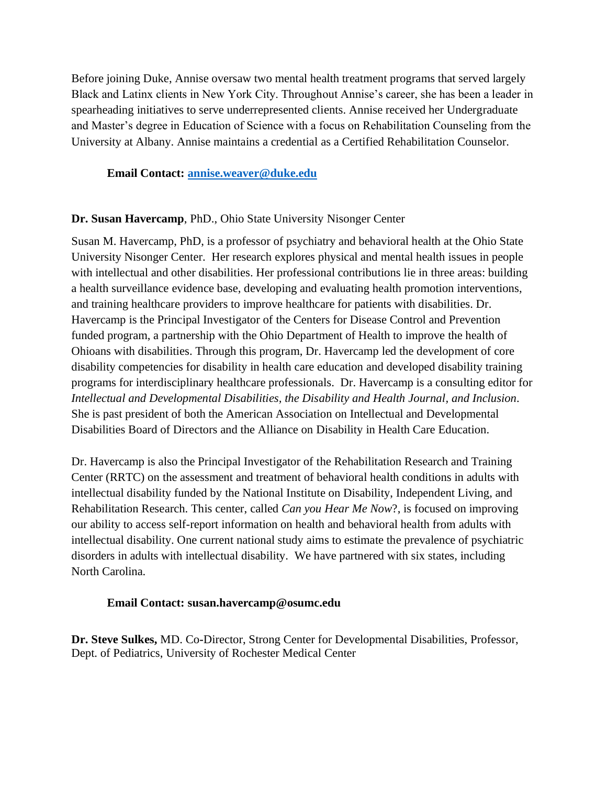Before joining Duke, Annise oversaw two mental health treatment programs that served largely Black and Latinx clients in New York City. Throughout Annise's career, she has been a leader in spearheading initiatives to serve underrepresented clients. Annise received her Undergraduate and Master's degree in Education of Science with a focus on Rehabilitation Counseling from the University at Albany. Annise maintains a credential as a Certified Rehabilitation Counselor.

**Email Contact: [annise.weaver@duke.edu](mailto:annise.weaver@duke.edu)**

# **Dr. Susan Havercamp**, PhD., Ohio State University Nisonger Center

Susan M. Havercamp, PhD, is a professor of psychiatry and behavioral health at the Ohio State University Nisonger Center. Her research explores physical and mental health issues in people with intellectual and other disabilities. Her professional contributions lie in three areas: building a health surveillance evidence base, developing and evaluating health promotion interventions, and training healthcare providers to improve healthcare for patients with disabilities. Dr. Havercamp is the Principal Investigator of the Centers for Disease Control and Prevention funded program, a partnership with the Ohio Department of Health to improve the health of Ohioans with disabilities. Through this program, Dr. Havercamp led the development of core disability competencies for disability in health care education and developed disability training programs for interdisciplinary healthcare professionals. Dr. Havercamp is a consulting editor for *Intellectual and Developmental Disabilities, the Disability and Health Journal, and Inclusion*. She is past president of both the American Association on Intellectual and Developmental Disabilities Board of Directors and the Alliance on Disability in Health Care Education.

Dr. Havercamp is also the Principal Investigator of the Rehabilitation Research and Training Center (RRTC) on the assessment and treatment of behavioral health conditions in adults with intellectual disability funded by the National Institute on Disability, Independent Living, and Rehabilitation Research. This center, called *Can you Hear Me Now*?, is focused on improving our ability to access self-report information on health and behavioral health from adults with intellectual disability. One current national study aims to estimate the prevalence of psychiatric disorders in adults with intellectual disability. We have partnered with six states, including North Carolina.

#### **Email Contact: susan.havercamp@osumc.edu**

**Dr. Steve Sulkes,** MD. Co**-**Director, Strong Center for Developmental Disabilities, Professor, Dept. of Pediatrics, University of Rochester Medical Center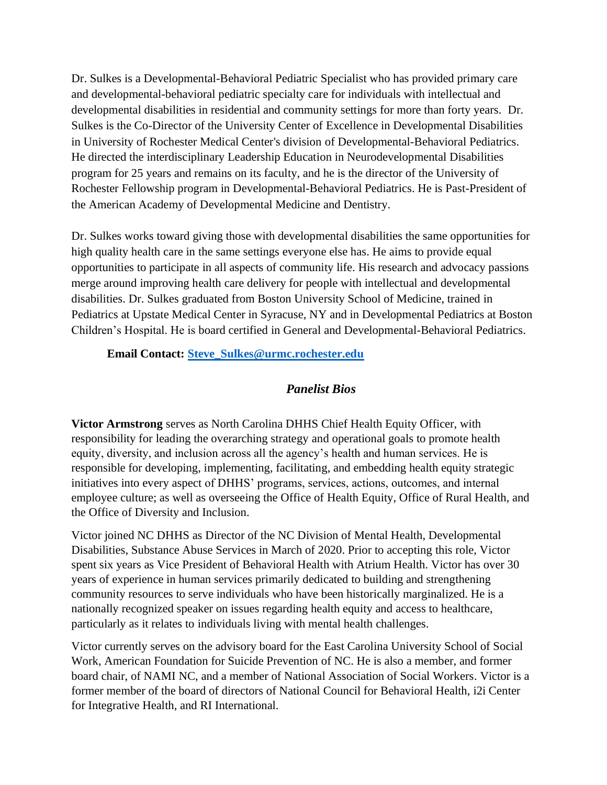Dr. Sulkes is a Developmental-Behavioral Pediatric Specialist who has provided primary care and developmental-behavioral pediatric specialty care for individuals with intellectual and developmental disabilities in residential and community settings for more than forty years. Dr. Sulkes is the Co-Director of the University Center of Excellence in Developmental Disabilities in University of Rochester Medical Center's division of Developmental-Behavioral Pediatrics. He directed the interdisciplinary Leadership Education in Neurodevelopmental Disabilities program for 25 years and remains on its faculty, and he is the director of the University of Rochester Fellowship program in Developmental-Behavioral Pediatrics. He is Past-President of the American Academy of Developmental Medicine and Dentistry.

Dr. Sulkes works toward giving those with developmental disabilities the same opportunities for high quality health care in the same settings everyone else has. He aims to provide equal opportunities to participate in all aspects of community life. His research and advocacy passions merge around improving health care delivery for people with intellectual and developmental disabilities. Dr. Sulkes graduated from Boston University School of Medicine, trained in Pediatrics at Upstate Medical Center in Syracuse, NY and in Developmental Pediatrics at Boston Children's Hospital. He is board certified in General and Developmental-Behavioral Pediatrics.

### **Email Contact: [Steve\\_Sulkes@urmc.rochester.edu](mailto:Steve_Sulkes@urmc.rochester.edu)**

# *Panelist Bios*

**Victor Armstrong** serves as North Carolina DHHS Chief Health Equity Officer, with responsibility for leading the overarching strategy and operational goals to promote health equity, diversity, and inclusion across all the agency's health and human services. He is responsible for developing, implementing, facilitating, and embedding health equity strategic initiatives into every aspect of DHHS' programs, services, actions, outcomes, and internal employee culture; as well as overseeing the Office of Health Equity, Office of Rural Health, and the Office of Diversity and Inclusion.

Victor joined NC DHHS as Director of the NC Division of Mental Health, Developmental Disabilities, Substance Abuse Services in March of 2020. Prior to accepting this role, Victor spent six years as Vice President of Behavioral Health with Atrium Health. Victor has over 30 years of experience in human services primarily dedicated to building and strengthening community resources to serve individuals who have been historically marginalized. He is a nationally recognized speaker on issues regarding health equity and access to healthcare, particularly as it relates to individuals living with mental health challenges.

Victor currently serves on the advisory board for the East Carolina University School of Social Work, American Foundation for Suicide Prevention of NC. He is also a member, and former board chair, of NAMI NC, and a member of National Association of Social Workers. Victor is a former member of the board of directors of National Council for Behavioral Health, i2i Center for Integrative Health, and RI International.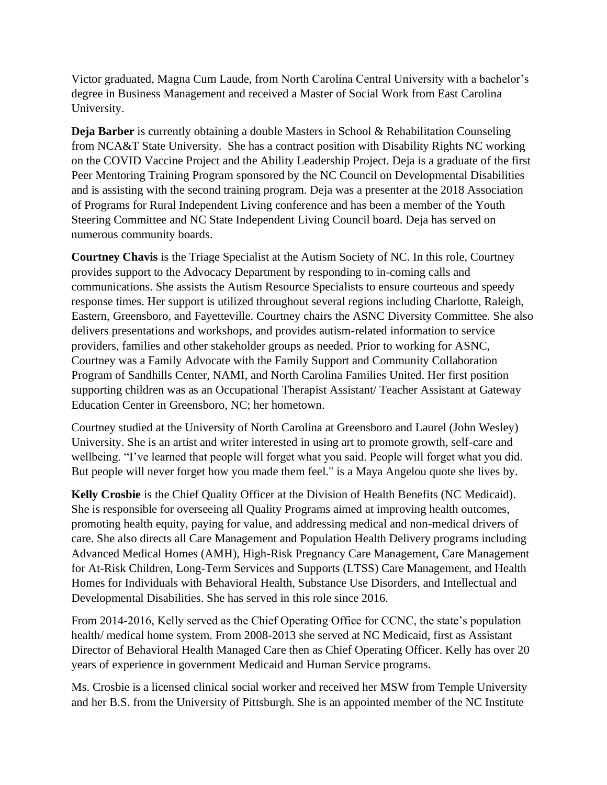Victor graduated, Magna Cum Laude, from North Carolina Central University with a bachelor's degree in Business Management and received a Master of Social Work from East Carolina University.

**Deja Barber** is currently obtaining a double Masters in School & Rehabilitation Counseling from NCA&T State University. She has a contract position with Disability Rights NC working on the COVID Vaccine Project and the Ability Leadership Project. Deja is a graduate of the first Peer Mentoring Training Program sponsored by the NC Council on Developmental Disabilities and is assisting with the second training program. Deja was a presenter at the 2018 Association of Programs for Rural Independent Living conference and has been a member of the Youth Steering Committee and NC State Independent Living Council board. Deja has served on numerous community boards.

**Courtney Chavis** is the Triage Specialist at the Autism Society of NC. In this role, Courtney provides support to the Advocacy Department by responding to in-coming calls and communications. She assists the Autism Resource Specialists to ensure courteous and speedy response times. Her support is utilized throughout several regions including Charlotte, Raleigh, Eastern, Greensboro, and Fayetteville. Courtney chairs the ASNC Diversity Committee. She also delivers presentations and workshops, and provides autism-related information to service providers, families and other stakeholder groups as needed. Prior to working for ASNC, Courtney was a Family Advocate with the Family Support and Community Collaboration Program of Sandhills Center, NAMI, and North Carolina Families United. Her first position supporting children was as an Occupational Therapist Assistant/ Teacher Assistant at Gateway Education Center in Greensboro, NC; her hometown.

Courtney studied at the University of North Carolina at Greensboro and Laurel (John Wesley) University. She is an artist and writer interested in using art to promote growth, self-care and wellbeing. "I've learned that people will forget what you said. People will forget what you did. But people will never forget how you made them feel." is a Maya Angelou quote she lives by.

**Kelly Crosbie** is the Chief Quality Officer at the Division of Health Benefits (NC Medicaid). She is responsible for overseeing all Quality Programs aimed at improving health outcomes, promoting health equity, paying for value, and addressing medical and non-medical drivers of care. She also directs all Care Management and Population Health Delivery programs including Advanced Medical Homes (AMH), High-Risk Pregnancy Care Management, Care Management for At-Risk Children, Long-Term Services and Supports (LTSS) Care Management, and Health Homes for Individuals with Behavioral Health, Substance Use Disorders, and Intellectual and Developmental Disabilities. She has served in this role since 2016.

From 2014-2016, Kelly served as the Chief Operating Office for CCNC, the state's population health/ medical home system. From 2008-2013 she served at NC Medicaid, first as Assistant Director of Behavioral Health Managed Care then as Chief Operating Officer. Kelly has over 20 years of experience in government Medicaid and Human Service programs.

Ms. Crosbie is a licensed clinical social worker and received her MSW from Temple University and her B.S. from the University of Pittsburgh. She is an appointed member of the NC Institute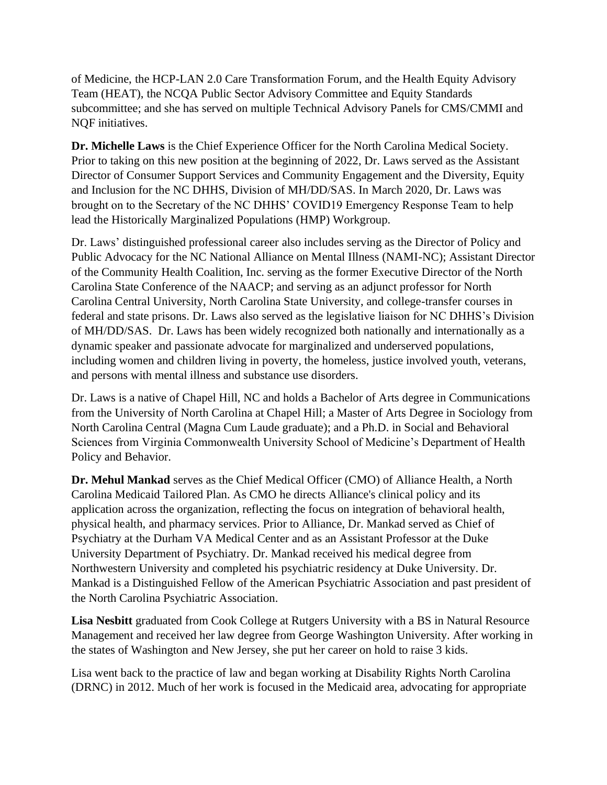of Medicine, the HCP-LAN 2.0 Care Transformation Forum, and the Health Equity Advisory Team (HEAT), the NCQA Public Sector Advisory Committee and Equity Standards subcommittee; and she has served on multiple Technical Advisory Panels for CMS/CMMI and NQF initiatives.

**Dr. Michelle Laws** is the Chief Experience Officer for the North Carolina Medical Society. Prior to taking on this new position at the beginning of 2022, Dr. Laws served as the Assistant Director of Consumer Support Services and Community Engagement and the Diversity, Equity and Inclusion for the NC DHHS, Division of MH/DD/SAS. In March 2020, Dr. Laws was brought on to the Secretary of the NC DHHS' COVID19 Emergency Response Team to help lead the Historically Marginalized Populations (HMP) Workgroup.

Dr. Laws' distinguished professional career also includes serving as the Director of Policy and Public Advocacy for the NC National Alliance on Mental Illness (NAMI-NC); Assistant Director of the Community Health Coalition, Inc. serving as the former Executive Director of the North Carolina State Conference of the NAACP; and serving as an adjunct professor for North Carolina Central University, North Carolina State University, and college-transfer courses in federal and state prisons. Dr. Laws also served as the legislative liaison for NC DHHS's Division of MH/DD/SAS. Dr. Laws has been widely recognized both nationally and internationally as a dynamic speaker and passionate advocate for marginalized and underserved populations, including women and children living in poverty, the homeless, justice involved youth, veterans, and persons with mental illness and substance use disorders.

Dr. Laws is a native of Chapel Hill, NC and holds a Bachelor of Arts degree in Communications from the University of North Carolina at Chapel Hill; a Master of Arts Degree in Sociology from North Carolina Central (Magna Cum Laude graduate); and a Ph.D. in Social and Behavioral Sciences from Virginia Commonwealth University School of Medicine's Department of Health Policy and Behavior.

**Dr. Mehul Mankad** serves as the Chief Medical Officer (CMO) of Alliance Health, a North Carolina Medicaid Tailored Plan. As CMO he directs Alliance's clinical policy and its application across the organization, reflecting the focus on integration of behavioral health, physical health, and pharmacy services. Prior to Alliance, Dr. Mankad served as Chief of Psychiatry at the Durham VA Medical Center and as an Assistant Professor at the Duke University Department of Psychiatry. Dr. Mankad received his medical degree from Northwestern University and completed his psychiatric residency at Duke University. Dr. Mankad is a Distinguished Fellow of the American Psychiatric Association and past president of the North Carolina Psychiatric Association.

Lisa Nesbitt graduated from Cook College at Rutgers University with a BS in Natural Resource Management and received her law degree from George Washington University. After working in the states of Washington and New Jersey, she put her career on hold to raise 3 kids.

Lisa went back to the practice of law and began working at Disability Rights North Carolina (DRNC) in 2012. Much of her work is focused in the Medicaid area, advocating for appropriate